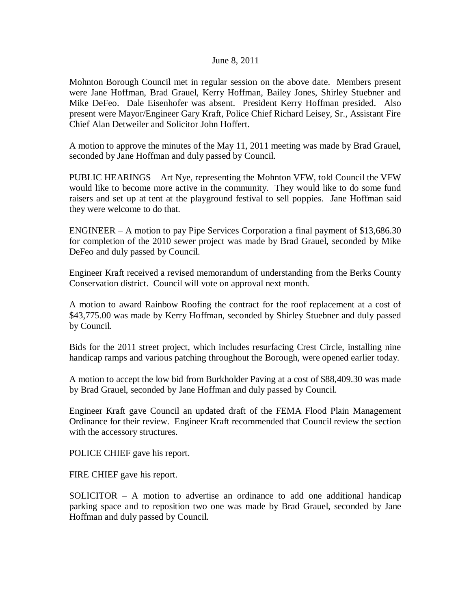## June 8, 2011

Mohnton Borough Council met in regular session on the above date. Members present were Jane Hoffman, Brad Grauel, Kerry Hoffman, Bailey Jones, Shirley Stuebner and Mike DeFeo. Dale Eisenhofer was absent. President Kerry Hoffman presided. Also present were Mayor/Engineer Gary Kraft, Police Chief Richard Leisey, Sr., Assistant Fire Chief Alan Detweiler and Solicitor John Hoffert.

A motion to approve the minutes of the May 11, 2011 meeting was made by Brad Grauel, seconded by Jane Hoffman and duly passed by Council.

PUBLIC HEARINGS – Art Nye, representing the Mohnton VFW, told Council the VFW would like to become more active in the community. They would like to do some fund raisers and set up at tent at the playground festival to sell poppies. Jane Hoffman said they were welcome to do that.

ENGINEER – A motion to pay Pipe Services Corporation a final payment of \$13,686.30 for completion of the 2010 sewer project was made by Brad Grauel, seconded by Mike DeFeo and duly passed by Council.

Engineer Kraft received a revised memorandum of understanding from the Berks County Conservation district. Council will vote on approval next month.

A motion to award Rainbow Roofing the contract for the roof replacement at a cost of \$43,775.00 was made by Kerry Hoffman, seconded by Shirley Stuebner and duly passed by Council.

Bids for the 2011 street project, which includes resurfacing Crest Circle, installing nine handicap ramps and various patching throughout the Borough, were opened earlier today.

A motion to accept the low bid from Burkholder Paving at a cost of \$88,409.30 was made by Brad Grauel, seconded by Jane Hoffman and duly passed by Council.

Engineer Kraft gave Council an updated draft of the FEMA Flood Plain Management Ordinance for their review. Engineer Kraft recommended that Council review the section with the accessory structures.

POLICE CHIEF gave his report.

FIRE CHIEF gave his report.

SOLICITOR – A motion to advertise an ordinance to add one additional handicap parking space and to reposition two one was made by Brad Grauel, seconded by Jane Hoffman and duly passed by Council.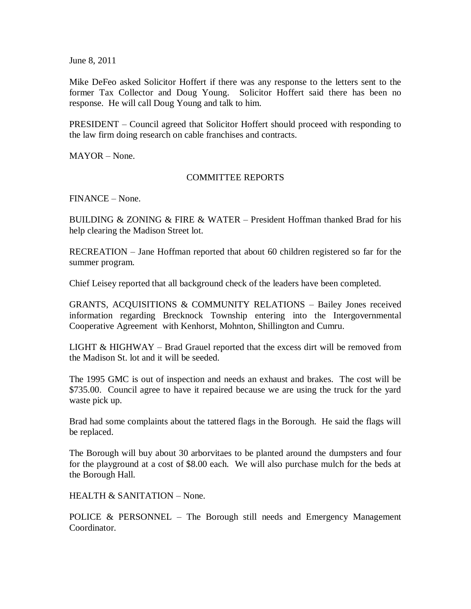June 8, 2011

Mike DeFeo asked Solicitor Hoffert if there was any response to the letters sent to the former Tax Collector and Doug Young. Solicitor Hoffert said there has been no response. He will call Doug Young and talk to him.

PRESIDENT – Council agreed that Solicitor Hoffert should proceed with responding to the law firm doing research on cable franchises and contracts.

MAYOR – None.

## COMMITTEE REPORTS

FINANCE – None.

BUILDING & ZONING & FIRE & WATER – President Hoffman thanked Brad for his help clearing the Madison Street lot.

RECREATION – Jane Hoffman reported that about 60 children registered so far for the summer program.

Chief Leisey reported that all background check of the leaders have been completed.

GRANTS, ACQUISITIONS & COMMUNITY RELATIONS – Bailey Jones received information regarding Brecknock Township entering into the Intergovernmental Cooperative Agreement with Kenhorst, Mohnton, Shillington and Cumru.

LIGHT & HIGHWAY – Brad Grauel reported that the excess dirt will be removed from the Madison St. lot and it will be seeded.

The 1995 GMC is out of inspection and needs an exhaust and brakes. The cost will be \$735.00. Council agree to have it repaired because we are using the truck for the yard waste pick up.

Brad had some complaints about the tattered flags in the Borough. He said the flags will be replaced.

The Borough will buy about 30 arborvitaes to be planted around the dumpsters and four for the playground at a cost of \$8.00 each. We will also purchase mulch for the beds at the Borough Hall.

HEALTH & SANITATION – None.

POLICE  $\&$  PERSONNEL – The Borough still needs and Emergency Management Coordinator.